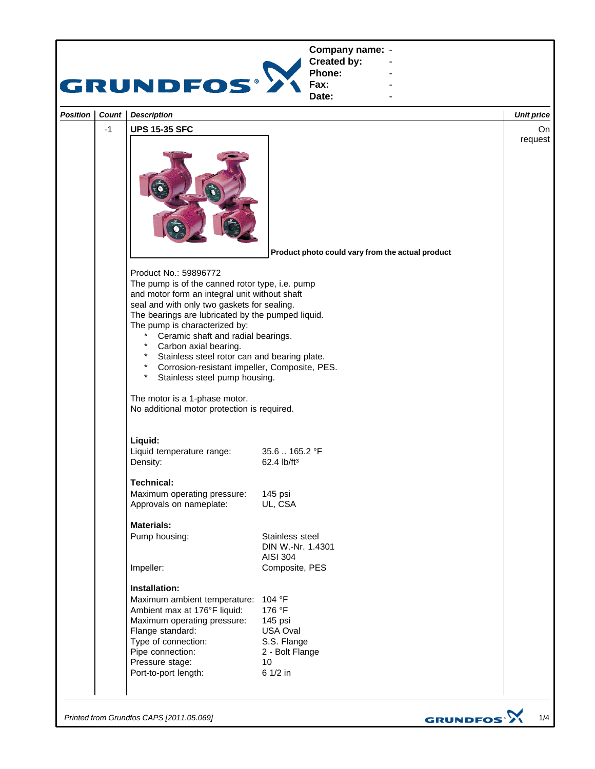

*Printed from Grundfos CAPS [2011.05.069]*

GRUNDFOS<sup>.</sup>>

1/4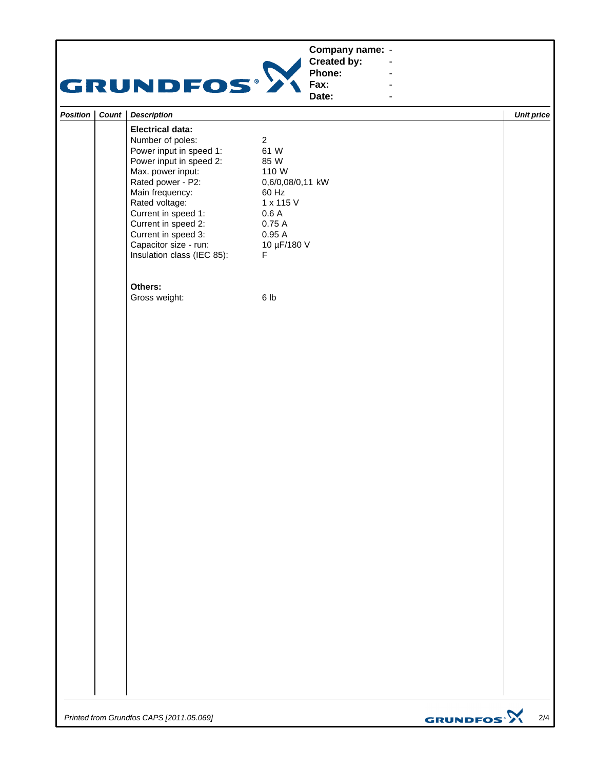## **Company name: -** Construction of the construction

## GRUNDFOS<sup>.</sup>

**Created by: Phone: Fax: -** Construction of the construction **-** Construction of the construction **-** Construction of the construction

| Date:<br>$\blacksquare$ |       |                            |                  |                   |  |  |
|-------------------------|-------|----------------------------|------------------|-------------------|--|--|
| Position                | Count | <b>Description</b>         |                  | <b>Unit price</b> |  |  |
|                         |       | <b>Electrical data:</b>    |                  |                   |  |  |
|                         |       | Number of poles:           | $\overline{a}$   |                   |  |  |
|                         |       | Power input in speed 1:    | 61 W             |                   |  |  |
|                         |       | Power input in speed 2:    | 85 W             |                   |  |  |
|                         |       | Max. power input:          | 110 W            |                   |  |  |
|                         |       | Rated power - P2:          | 0,6/0,08/0,11 kW |                   |  |  |
|                         |       | Main frequency:            | 60 Hz            |                   |  |  |
|                         |       | Rated voltage:             | 1 x 115 V        |                   |  |  |
|                         |       | Current in speed 1:        | 0.6A             |                   |  |  |
|                         |       | Current in speed 2:        | 0.75A            |                   |  |  |
|                         |       | Current in speed 3:        | 0.95A            |                   |  |  |
|                         |       | Capacitor size - run:      | 10 µF/180 V      |                   |  |  |
|                         |       | Insulation class (IEC 85): | F                |                   |  |  |
|                         |       | Others:                    |                  |                   |  |  |
|                         |       | Gross weight:              | 6 lb             |                   |  |  |
|                         |       |                            |                  |                   |  |  |
|                         |       |                            |                  |                   |  |  |
|                         |       |                            |                  |                   |  |  |
|                         |       |                            |                  |                   |  |  |
|                         |       |                            |                  |                   |  |  |
|                         |       |                            |                  |                   |  |  |
|                         |       |                            |                  |                   |  |  |
|                         |       |                            |                  |                   |  |  |
|                         |       |                            |                  |                   |  |  |
|                         |       |                            |                  |                   |  |  |
|                         |       |                            |                  |                   |  |  |
|                         |       |                            |                  |                   |  |  |
|                         |       |                            |                  |                   |  |  |
|                         |       |                            |                  |                   |  |  |
|                         |       |                            |                  |                   |  |  |
|                         |       |                            |                  |                   |  |  |
|                         |       |                            |                  |                   |  |  |
|                         |       |                            |                  |                   |  |  |
|                         |       |                            |                  |                   |  |  |
|                         |       |                            |                  |                   |  |  |
|                         |       |                            |                  |                   |  |  |
|                         |       |                            |                  |                   |  |  |
|                         |       |                            |                  |                   |  |  |
|                         |       |                            |                  |                   |  |  |
|                         |       |                            |                  |                   |  |  |
|                         |       |                            |                  |                   |  |  |

*Printed from Grundfos CAPS [2011.05.069]*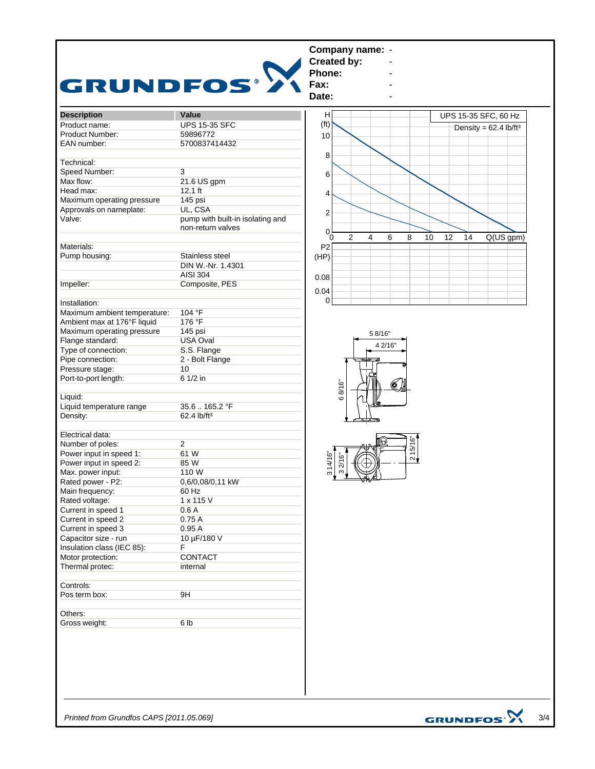|                                     |                                  | <b>Created by:</b>                                         |                                     |
|-------------------------------------|----------------------------------|------------------------------------------------------------|-------------------------------------|
| <b>GRUNDFOS®</b>                    |                                  | Phone:                                                     |                                     |
|                                     |                                  | Fax:<br>Date:                                              |                                     |
|                                     |                                  |                                                            |                                     |
| <b>Description</b><br>Product name: | Value<br><b>UPS 15-35 SFC</b>    | н<br>(f <sup>t</sup> )                                     | UPS 15-35 SFC, 60 Hz                |
| Product Number:                     | 59896772                         |                                                            | Density = $62.4$ lb/ft <sup>3</sup> |
| EAN number:                         | 5700837414432                    | 10                                                         |                                     |
|                                     |                                  |                                                            |                                     |
| Technical:                          |                                  | 8                                                          |                                     |
| Speed Number:                       | 3                                |                                                            |                                     |
| Max flow:                           | 21.6 US gpm                      | 6                                                          |                                     |
| Head max:                           | $12.1$ ft                        |                                                            |                                     |
| Maximum operating pressure          | 145 psi                          | 4                                                          |                                     |
| Approvals on nameplate:             | UL, CSA                          |                                                            |                                     |
| Valve:                              | pump with built-in isolating and | $\overline{\mathbf{c}}$                                    |                                     |
|                                     | non-return valves                | 0<br>$\overline{2}$<br>$\overline{4}$<br>6<br>8<br>10<br>0 | 12<br>Q(US gpm)<br>14               |
| Materials:                          |                                  | P <sub>2</sub>                                             |                                     |
| Pump housing:                       | Stainless steel                  | (HP)                                                       |                                     |
|                                     | DIN W.-Nr. 1.4301                |                                                            |                                     |
|                                     | AISI 304                         | 0.08                                                       |                                     |
| Impeller:                           | Composite, PES                   |                                                            |                                     |
|                                     |                                  | 0.04                                                       |                                     |
| Installation:                       |                                  | $\Omega$                                                   |                                     |
| Maximum ambient temperature:        | 104 °F                           |                                                            |                                     |
| Ambient max at 176°F liquid         | 176 °F                           |                                                            |                                     |
| Maximum operating pressure          | 145 psi                          | 5 8/16"                                                    |                                     |
| Flange standard:                    | <b>USA Oval</b>                  |                                                            |                                     |
| Type of connection:                 | S.S. Flange                      | 4 2/16"                                                    |                                     |
| Pipe connection:                    | 2 - Bolt Flange                  |                                                            |                                     |
| Pressure stage:                     | 10                               |                                                            |                                     |
| Port-to-port length:                | 6 1/2 in                         |                                                            |                                     |
|                                     |                                  | 68/16"<br>6                                                |                                     |
| Liquid:                             |                                  |                                                            |                                     |
| Liquid temperature range            | 35.6165.2 °F                     |                                                            |                                     |
| Density:                            | 62.4 lb/ft <sup>3</sup>          |                                                            |                                     |
|                                     |                                  |                                                            |                                     |
| Electrical data:                    |                                  |                                                            |                                     |
| Number of poles:                    | $\overline{2}$                   |                                                            |                                     |
| Power input in speed 1:             | 61 W                             | 215/16"                                                    |                                     |
| Power input in speed 2:             | 85 W                             | 32/16"                                                     |                                     |
| Max. power input:                   | 110 W                            | 314/16"                                                    |                                     |
| Rated power - P2:                   | 0,6/0,08/0,11 kW                 |                                                            |                                     |
| Main frequency:                     | 60 Hz                            |                                                            |                                     |
| Rated voltage:                      | $1 \times 115$ V                 |                                                            |                                     |
| Current in speed 1                  | 0.6A                             |                                                            |                                     |
| Current in speed 2                  | 0.75 A                           |                                                            |                                     |
| Current in speed 3                  | 0.95A                            |                                                            |                                     |
| Capacitor size - run                | 10 µF/180 V                      |                                                            |                                     |
| Insulation class (IEC 85):          | F                                |                                                            |                                     |
| Motor protection:                   | CONTACT                          |                                                            |                                     |
| Thermal protec:                     | internal                         |                                                            |                                     |
|                                     |                                  |                                                            |                                     |
| Controls:                           |                                  |                                                            |                                     |
| Pos term box:                       | 9H                               |                                                            |                                     |
|                                     |                                  |                                                            |                                     |
| Others:                             |                                  |                                                            |                                     |
| Gross weight:                       | 6 <sub>lb</sub>                  |                                                            |                                     |
|                                     |                                  |                                                            |                                     |

*Printed from Grundfos CAPS [2011.05.069]*

GRUNDFOS $\mathbf{\hat{X}}_{3/4}$